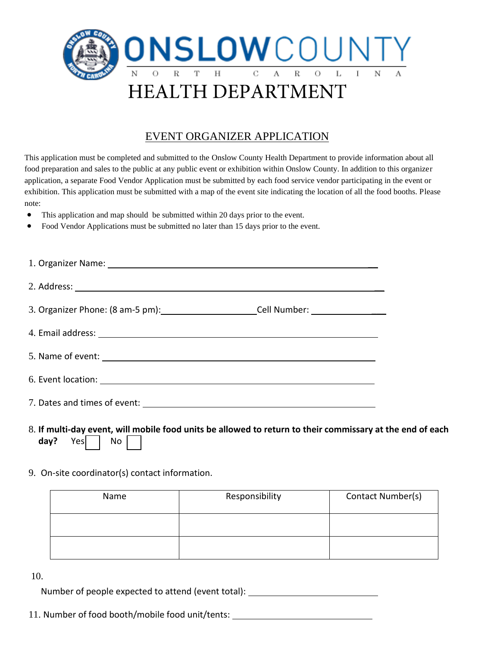

## EVENT ORGANIZER APPLICATION

This application must be completed and submitted to the Onslow County Health Department to provide information about all food preparation and sales to the public at any public event or exhibition within Onslow County. In addition to this organizer application, a separate Food Vendor Application must be submitted by each food service vendor participating in the event or exhibition. This application must be submitted with a map of the event site indicating the location of all the food booths. Please note:

- This application and map should be submitted within 20 days prior to the event.
- Food Vendor Applications must be submitted no later than 15 days prior to the event.

| 1. Organizer Name: 1. 2008 and 2008 and 2008 and 2008 and 2008 and 2008 and 2008 and 2008 and 2008 and 2008 and 2008 and 2008 and 2008 and 2008 and 2008 and 2008 and 2008 and 2008 and 2008 and 2008 and 2008 and 2008 and 20 |  |
|--------------------------------------------------------------------------------------------------------------------------------------------------------------------------------------------------------------------------------|--|
|                                                                                                                                                                                                                                |  |
| 3. Organizer Phone: (8 am-5 pm): Cell Number: Call Number:                                                                                                                                                                     |  |
|                                                                                                                                                                                                                                |  |
|                                                                                                                                                                                                                                |  |
|                                                                                                                                                                                                                                |  |
|                                                                                                                                                                                                                                |  |

- 8. **If multi-day event, will mobile food units be allowed to return to their commissary at the end of each day?** Yes | No
- 9. On-site coordinator(s) contact information.

| Name | Responsibility | Contact Number(s) |
|------|----------------|-------------------|
|      |                |                   |
|      |                |                   |

```
10.
```
Number of people expected to attend (event total):

11. Number of food booth/mobile food unit/tents: